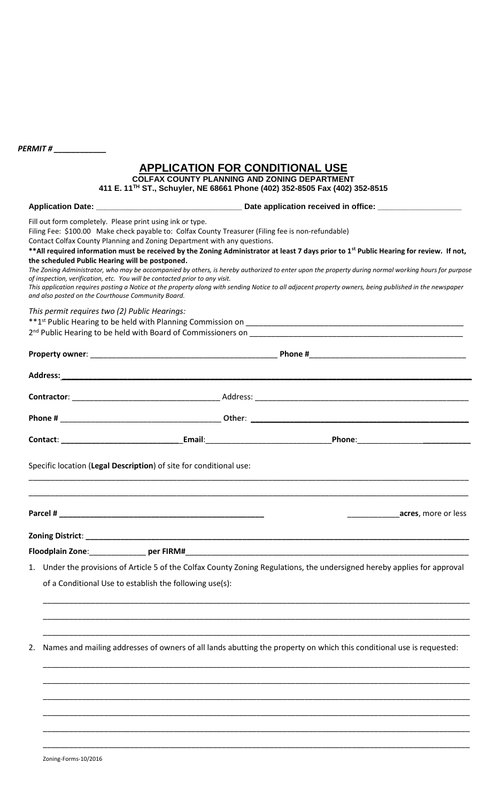*PERMIT # \_\_\_\_\_\_\_\_\_\_\_\_* 

# **APPLICATION FOR CONDITIONAL USE**

**COLFAX COUNTY PLANNING AND ZONING DEPARTMENT**

**411 E. 11TH ST., Schuyler, NE 68661 Phone (402) 352-8505 Fax (402) 352-8515**

|    | 31., OCTIVIEI, INC. 0000 FTIONE (402) 332-0303 FAX (402) 332-0313                                                                                                                                                                                                                                                                                                                                                                                                                                                                                                                                                                                                                                                                                                                                                                                                                                            |
|----|--------------------------------------------------------------------------------------------------------------------------------------------------------------------------------------------------------------------------------------------------------------------------------------------------------------------------------------------------------------------------------------------------------------------------------------------------------------------------------------------------------------------------------------------------------------------------------------------------------------------------------------------------------------------------------------------------------------------------------------------------------------------------------------------------------------------------------------------------------------------------------------------------------------|
|    |                                                                                                                                                                                                                                                                                                                                                                                                                                                                                                                                                                                                                                                                                                                                                                                                                                                                                                              |
|    | Fill out form completely. Please print using ink or type.<br>Filing Fee: \$100.00 Make check payable to: Colfax County Treasurer (Filing fee is non-refundable)<br>Contact Colfax County Planning and Zoning Department with any questions.<br>** All required information must be received by the Zoning Administrator at least 7 days prior to 1 <sup>st</sup> Public Hearing for review. If not,<br>the scheduled Public Hearing will be postponed.<br>The Zoning Administrator, who may be accompanied by others, is hereby authorized to enter upon the property during normal working hours for purpose<br>of inspection, verification, etc. You will be contacted prior to any visit.<br>This application requires posting a Notice at the property along with sending Notice to all adjacent property owners, being published in the newspaper<br>and also posted on the Courthouse Community Board. |
|    | This permit requires two (2) Public Hearings:                                                                                                                                                                                                                                                                                                                                                                                                                                                                                                                                                                                                                                                                                                                                                                                                                                                                |
|    |                                                                                                                                                                                                                                                                                                                                                                                                                                                                                                                                                                                                                                                                                                                                                                                                                                                                                                              |
|    |                                                                                                                                                                                                                                                                                                                                                                                                                                                                                                                                                                                                                                                                                                                                                                                                                                                                                                              |
|    |                                                                                                                                                                                                                                                                                                                                                                                                                                                                                                                                                                                                                                                                                                                                                                                                                                                                                                              |
|    |                                                                                                                                                                                                                                                                                                                                                                                                                                                                                                                                                                                                                                                                                                                                                                                                                                                                                                              |
|    |                                                                                                                                                                                                                                                                                                                                                                                                                                                                                                                                                                                                                                                                                                                                                                                                                                                                                                              |
|    | Specific location (Legal Description) of site for conditional use:                                                                                                                                                                                                                                                                                                                                                                                                                                                                                                                                                                                                                                                                                                                                                                                                                                           |
|    | acres, more or less                                                                                                                                                                                                                                                                                                                                                                                                                                                                                                                                                                                                                                                                                                                                                                                                                                                                                          |
|    |                                                                                                                                                                                                                                                                                                                                                                                                                                                                                                                                                                                                                                                                                                                                                                                                                                                                                                              |
|    | Floodplain Zone:<br>per FIRM#                                                                                                                                                                                                                                                                                                                                                                                                                                                                                                                                                                                                                                                                                                                                                                                                                                                                                |
| 1. | Under the provisions of Article 5 of the Colfax County Zoning Regulations, the undersigned hereby applies for approval                                                                                                                                                                                                                                                                                                                                                                                                                                                                                                                                                                                                                                                                                                                                                                                       |
|    | of a Conditional Use to establish the following use(s):                                                                                                                                                                                                                                                                                                                                                                                                                                                                                                                                                                                                                                                                                                                                                                                                                                                      |
|    |                                                                                                                                                                                                                                                                                                                                                                                                                                                                                                                                                                                                                                                                                                                                                                                                                                                                                                              |
| 2. | Names and mailing addresses of owners of all lands abutting the property on which this conditional use is requested:                                                                                                                                                                                                                                                                                                                                                                                                                                                                                                                                                                                                                                                                                                                                                                                         |
|    |                                                                                                                                                                                                                                                                                                                                                                                                                                                                                                                                                                                                                                                                                                                                                                                                                                                                                                              |
|    |                                                                                                                                                                                                                                                                                                                                                                                                                                                                                                                                                                                                                                                                                                                                                                                                                                                                                                              |
|    |                                                                                                                                                                                                                                                                                                                                                                                                                                                                                                                                                                                                                                                                                                                                                                                                                                                                                                              |

\_\_\_\_\_\_\_\_\_\_\_\_\_\_\_\_\_\_\_\_\_\_\_\_\_\_\_\_\_\_\_\_\_\_\_\_\_\_\_\_\_\_\_\_\_\_\_\_\_\_\_\_\_\_\_\_\_\_\_\_\_\_\_\_\_\_\_\_\_\_\_\_\_\_\_\_\_\_\_\_\_\_\_\_\_\_\_\_\_\_\_\_\_\_\_\_\_\_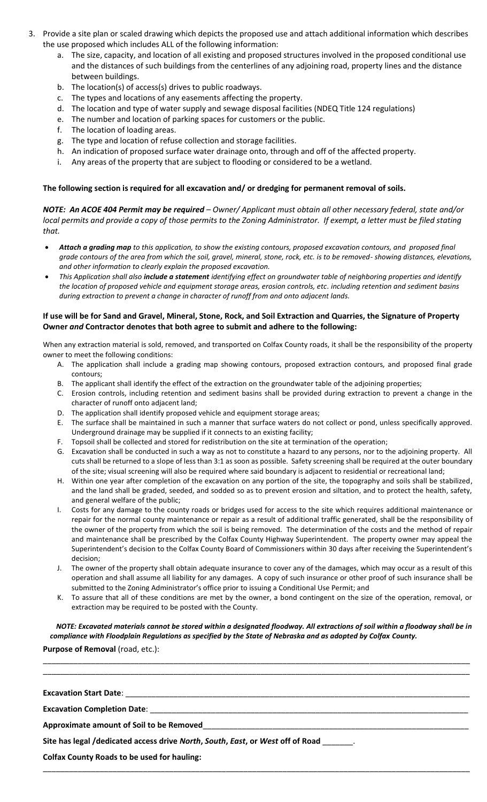- 3. Provide a site plan or scaled drawing which depicts the proposed use and attach additional information which describes the use proposed which includes ALL of the following information:
	- a. The size, capacity, and location of all existing and proposed structures involved in the proposed conditional use and the distances of such buildings from the centerlines of any adjoining road, property lines and the distance between buildings.
	- b. The location(s) of access(s) drives to public roadways.
	- c. The types and locations of any easements affecting the property.
	- d. The location and type of water supply and sewage disposal facilities (NDEQ Title 124 regulations)
	- e. The number and location of parking spaces for customers or the public.
	- f. The location of loading areas.
	- g. The type and location of refuse collection and storage facilities.
	- h. An indication of proposed surface water drainage onto, through and off of the affected property.
	- i. Any areas of the property that are subject to flooding or considered to be a wetland.

#### **The following section is required for all excavation and/ or dredging for permanent removal of soils.**

*NOTE: An ACOE 404 Permit may be required – Owner/ Applicant must obtain all other necessary federal, state and/or local permits and provide a copy of those permits to the Zoning Administrator. If exempt, a letter must be filed stating that.* 

- *Attach a grading map to this application, to show the existing contours, proposed excavation contours, and proposed final grade contours of the area from which the soil, gravel, mineral, stone, rock, etc. is to be removed- showing distances, elevations, and other information to clearly explain the proposed excavation.*
- *This Application shall also include a statement identifying effect on groundwater table of neighboring properties and identify the location of proposed vehicle and equipment storage areas, erosion controls, etc. including retention and sediment basins during extraction to prevent a change in character of runoff from and onto adjacent lands.*

## **If use will be for Sand and Gravel, Mineral, Stone, Rock, and Soil Extraction and Quarries, the Signature of Property Owner** *and* **Contractor denotes that both agree to submit and adhere to the following:**

When any extraction material is sold, removed, and transported on Colfax County roads, it shall be the responsibility of the property owner to meet the following conditions:

- A. The application shall include a grading map showing contours, proposed extraction contours, and proposed final grade contours;
- B. The applicant shall identify the effect of the extraction on the groundwater table of the adjoining properties;
- C. Erosion controls, including retention and sediment basins shall be provided during extraction to prevent a change in the character of runoff onto adjacent land;
- D. The application shall identify proposed vehicle and equipment storage areas;
- E. The surface shall be maintained in such a manner that surface waters do not collect or pond, unless specifically approved. Underground drainage may be supplied if it connects to an existing facility;
- F. Topsoil shall be collected and stored for redistribution on the site at termination of the operation;
- G. Excavation shall be conducted in such a way as not to constitute a hazard to any persons, nor to the adjoining property. All cuts shall be returned to a slope of less than 3:1 as soon as possible. Safety screening shall be required at the outer boundary of the site; visual screening will also be required where said boundary is adjacent to residential or recreational land;
- H. Within one year after completion of the excavation on any portion of the site, the topography and soils shall be stabilized, and the land shall be graded, seeded, and sodded so as to prevent erosion and siltation, and to protect the health, safety, and general welfare of the public;
- Costs for any damage to the county roads or bridges used for access to the site which requires additional maintenance or repair for the normal county maintenance or repair as a result of additional traffic generated, shall be the responsibility of the owner of the property from which the soil is being removed. The determination of the costs and the method of repair and maintenance shall be prescribed by the Colfax County Highway Superintendent. The property owner may appeal the Superintendent's decision to the Colfax County Board of Commissioners within 30 days after receiving the Superintendent's decision;
- J. The owner of the property shall obtain adequate insurance to cover any of the damages, which may occur as a result of this operation and shall assume all liability for any damages. A copy of such insurance or other proof of such insurance shall be submitted to the Zoning Administrator's office prior to issuing a Conditional Use Permit; and
- K. To assure that all of these conditions are met by the owner, a bond contingent on the size of the operation, removal, or extraction may be required to be posted with the County.

## *NOTE: Excavated materials cannot be stored within a designated floodway. All extractions of soil within a floodway shall be in compliance with Floodplain Regulations as specified by the State of Nebraska and as adopted by Colfax County.*

\_\_\_\_\_\_\_\_\_\_\_\_\_\_\_\_\_\_\_\_\_\_\_\_\_\_\_\_\_\_\_\_\_\_\_\_\_\_\_\_\_\_\_\_\_\_\_\_\_\_\_\_\_\_\_\_\_\_\_\_\_\_\_\_\_\_\_\_\_\_\_\_\_\_\_\_\_\_\_\_\_\_\_\_\_\_\_\_\_\_\_\_\_\_\_\_\_\_ \_\_\_\_\_\_\_\_\_\_\_\_\_\_\_\_\_\_\_\_\_\_\_\_\_\_\_\_\_\_\_\_\_\_\_\_\_\_\_\_\_\_\_\_\_\_\_\_\_\_\_\_\_\_\_\_\_\_\_\_\_\_\_\_\_\_\_\_\_\_\_\_\_\_\_\_\_\_\_\_\_\_\_\_\_\_\_\_\_\_\_\_\_\_\_\_\_\_

\_\_\_\_\_\_\_\_\_\_\_\_\_\_\_\_\_\_\_\_\_\_\_\_\_\_\_\_\_\_\_\_\_\_\_\_\_\_\_\_\_\_\_\_\_\_\_\_\_\_\_\_\_\_\_\_\_\_\_\_\_\_\_\_\_\_\_\_\_\_\_\_\_\_\_\_\_\_\_\_\_\_\_\_\_\_\_\_\_\_\_\_\_\_\_\_\_\_

 **Purpose of Removal** (road, etc.):

| <b>Excavation Start Date:</b> |  |
|-------------------------------|--|
|                               |  |

**Excavation Completion Date:** 

**Approximate amount of Soil to be Removed**\_\_\_\_\_\_\_\_\_\_\_\_\_\_\_\_\_\_\_\_\_\_\_\_\_\_\_\_\_\_\_\_\_\_\_\_\_\_\_\_\_\_\_\_\_\_\_\_\_\_\_\_\_\_\_\_\_\_\_\_\_

**Site has legal /dedicated access drive** *North***,** *South***,** *East***, or** *West* **off of Road** \_\_\_\_\_\_\_.

**Colfax County Roads to be used for hauling:**